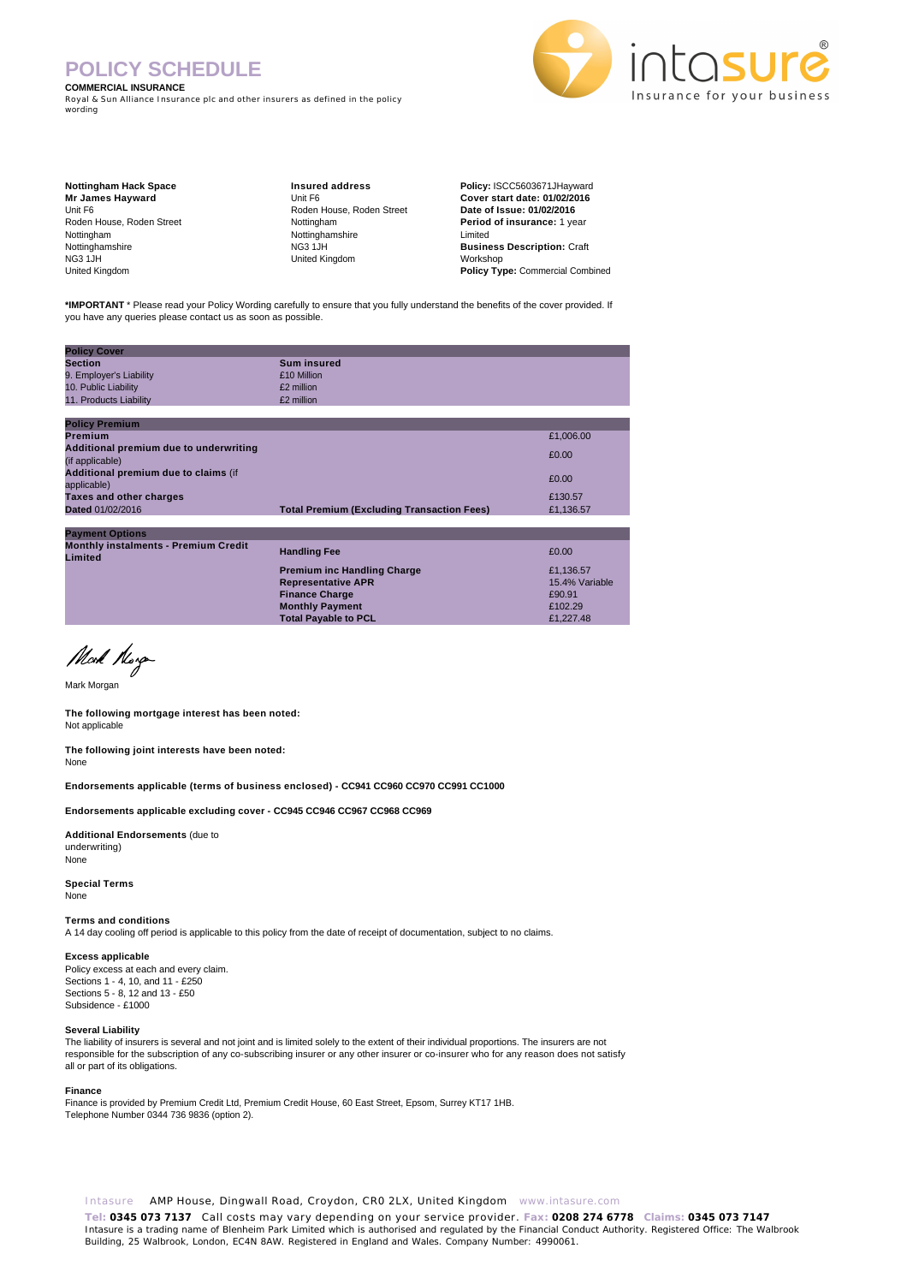# **POLICY SCHEDULE**

#### **COMMERCIAL INSURANCE**

Royal & Sun Alliance Insurance plc and other insurers as defined in the policy wording



**Nottingham Hack Space Mr James Hayward** Unit F6 Roden House, Roden Street Nottingham Nottinghamshire NG3 1JH United Kingdom

**Insured address** Unit F6 Roden House, Roden Street Nottingham Nottinghamshire NG3 1JH United Kingdom

**Policy:** ISCC5603671JHayward **Cover start date: 01/02/2016 Date of Issue: 01/02/2016 Period of insurance:** 1 year Limited **Business Description:** Craft Workshop **Policy Type:** Commercial Combined

**\*IMPORTANT** \* Please read your Policy Wording carefully to ensure that you fully understand the benefits of the cover provided. If you have any queries please contact us as soon as possible.

| <b>Policy Cover</b>                                    |                                                   |                |
|--------------------------------------------------------|---------------------------------------------------|----------------|
| <b>Section</b>                                         | <b>Sum insured</b>                                |                |
| 9. Employer's Liability                                | £10 Million                                       |                |
| 10. Public Liability                                   | £2 million                                        |                |
| 11. Products Liability                                 | £2 million                                        |                |
|                                                        |                                                   |                |
| <b>Policy Premium</b>                                  |                                                   |                |
| Premium                                                |                                                   | £1,006.00      |
| Additional premium due to underwriting                 |                                                   | £0.00          |
| (if applicable)                                        |                                                   |                |
| Additional premium due to claims (if                   |                                                   | £0.00          |
| applicable)                                            |                                                   |                |
| Taxes and other charges                                |                                                   | £130.57        |
| Dated 01/02/2016                                       | <b>Total Premium (Excluding Transaction Fees)</b> | £1,136.57      |
|                                                        |                                                   |                |
| <b>Payment Options</b>                                 |                                                   |                |
| <b>Monthly instalments - Premium Credit</b><br>Limited | <b>Handling Fee</b>                               | £0.00          |
|                                                        | <b>Premium inc Handling Charge</b>                | £1,136.57      |
|                                                        | <b>Representative APR</b>                         | 15.4% Variable |
|                                                        | <b>Finance Charge</b>                             | £90.91         |
|                                                        | <b>Monthly Payment</b>                            | £102.29        |
|                                                        | <b>Total Payable to PCL</b>                       | £1.227.48      |

Mock Norge

Mark Morgan

**The following mortgage interest has been noted:** Not applicable

**The following joint interests have been noted:** None

**Endorsements applicable (terms of business enclosed) - CC941 CC960 CC970 CC991 CC1000** 

**Endorsements applicable excluding cover - CC945 CC946 CC967 CC968 CC969** 

**Additional Endorsements** (due to underwriting) None

**Special Terms** None

**Terms and conditions**

A 14 day cooling off period is applicable to this policy from the date of receipt of documentation, subject to no claims.

**Excess applicable** Policy excess at each and every claim. Sections 1 - 4, 10, and 11 - £250 Sections 5 - 8, 12 and 13 - £50 Subsidence - £1000

#### **Several Liability**

The liability of insurers is several and not joint and is limited solely to the extent of their individual proportions. The insurers are not responsible for the subscription of any co-subscribing insurer or any other insurer or co-insurer who for any reason does not satisfy all or part of its obligations.

#### **Finance**

Finance is provided by Premium Credit Ltd, Premium Credit House, 60 East Street, Epsom, Surrey KT17 1HB. Telephone Number 0344 736 9836 (option 2).

Intasure AMP House, Dingwall Road, Croydon, CR0 2LX, United Kingdom www.intasure.com

**Tel: 0345 073 7137** Call costs may vary depending on your service provider. **Fax: 0208 274 6778 Claims: 0345 073 7147**  Intasure is a trading name of Blenheim Park Limited which is authorised and regulated by the Financial Conduct Authority. Registered Office: The Walbrook Building, 25 Walbrook, London, EC4N 8AW. Registered in England and Wales. Company Number: 4990061.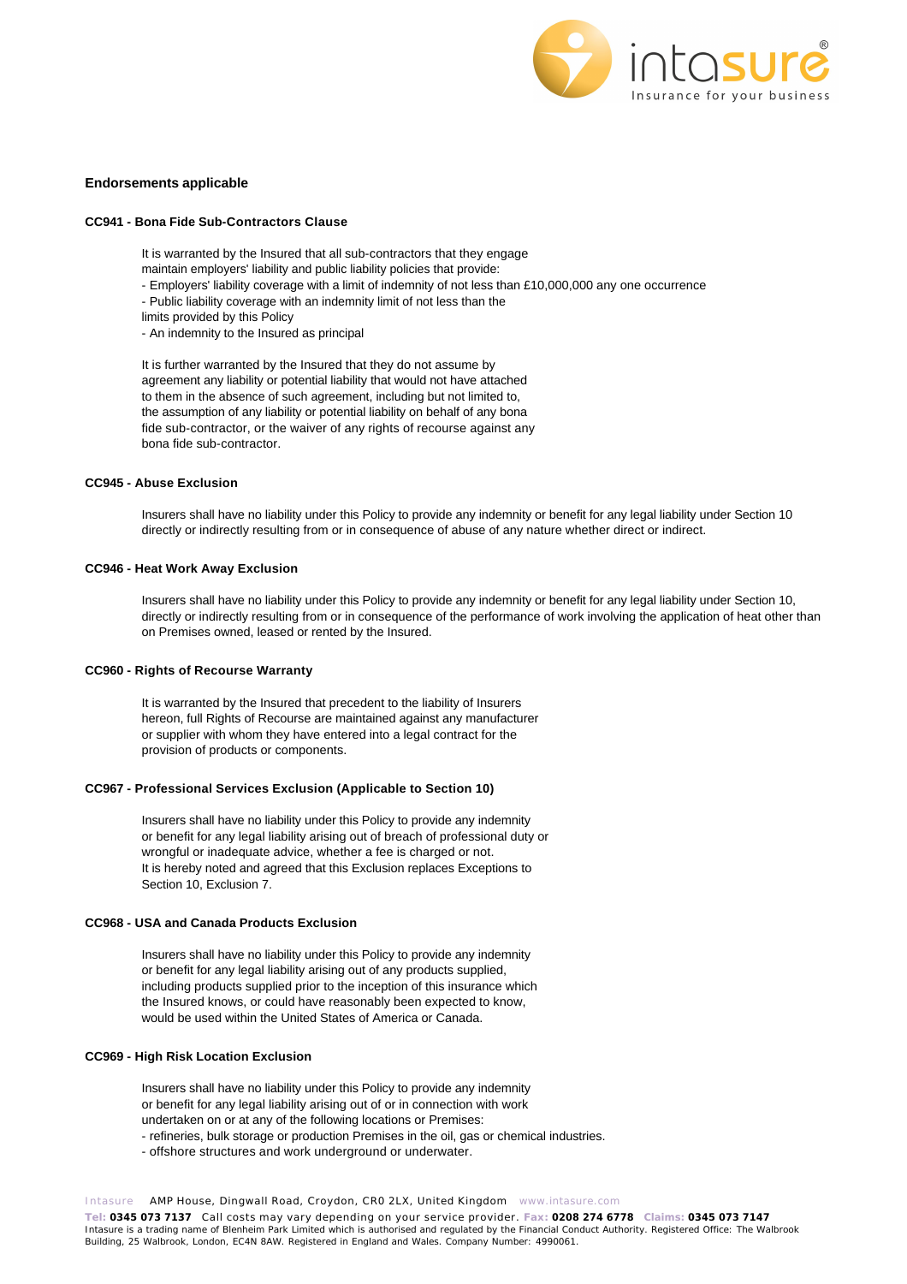

## **Endorsements applicable**

## **CC941 - Bona Fide Sub-Contractors Clause**

It is warranted by the Insured that all sub-contractors that they engage

- maintain employers' liability and public liability policies that provide:
- Employers' liability coverage with a limit of indemnity of not less than £10,000,000 any one occurrence
- Public liability coverage with an indemnity limit of not less than the
- limits provided by this Policy
- An indemnity to the Insured as principal

It is further warranted by the Insured that they do not assume by agreement any liability or potential liability that would not have attached to them in the absence of such agreement, including but not limited to, the assumption of any liability or potential liability on behalf of any bona fide sub-contractor, or the waiver of any rights of recourse against any bona fide sub-contractor.

# **CC945 - Abuse Exclusion**

Insurers shall have no liability under this Policy to provide any indemnity or benefit for any legal liability under Section 10 directly or indirectly resulting from or in consequence of abuse of any nature whether direct or indirect.

## **CC946 - Heat Work Away Exclusion**

Insurers shall have no liability under this Policy to provide any indemnity or benefit for any legal liability under Section 10, directly or indirectly resulting from or in consequence of the performance of work involving the application of heat other than on Premises owned, leased or rented by the Insured.

## **CC960 - Rights of Recourse Warranty**

It is warranted by the Insured that precedent to the liability of Insurers hereon, full Rights of Recourse are maintained against any manufacturer or supplier with whom they have entered into a legal contract for the provision of products or components.

## **CC967 - Professional Services Exclusion (Applicable to Section 10)**

Insurers shall have no liability under this Policy to provide any indemnity or benefit for any legal liability arising out of breach of professional duty or wrongful or inadequate advice, whether a fee is charged or not. It is hereby noted and agreed that this Exclusion replaces Exceptions to Section 10, Exclusion 7.

## **CC968 - USA and Canada Products Exclusion**

Insurers shall have no liability under this Policy to provide any indemnity or benefit for any legal liability arising out of any products supplied, including products supplied prior to the inception of this insurance which the Insured knows, or could have reasonably been expected to know, would be used within the United States of America or Canada.

# **CC969 - High Risk Location Exclusion**

Insurers shall have no liability under this Policy to provide any indemnity or benefit for any legal liability arising out of or in connection with work undertaken on or at any of the following locations or Premises:

- refineries, bulk storage or production Premises in the oil, gas or chemical industries.
- offshore structures and work underground or underwater.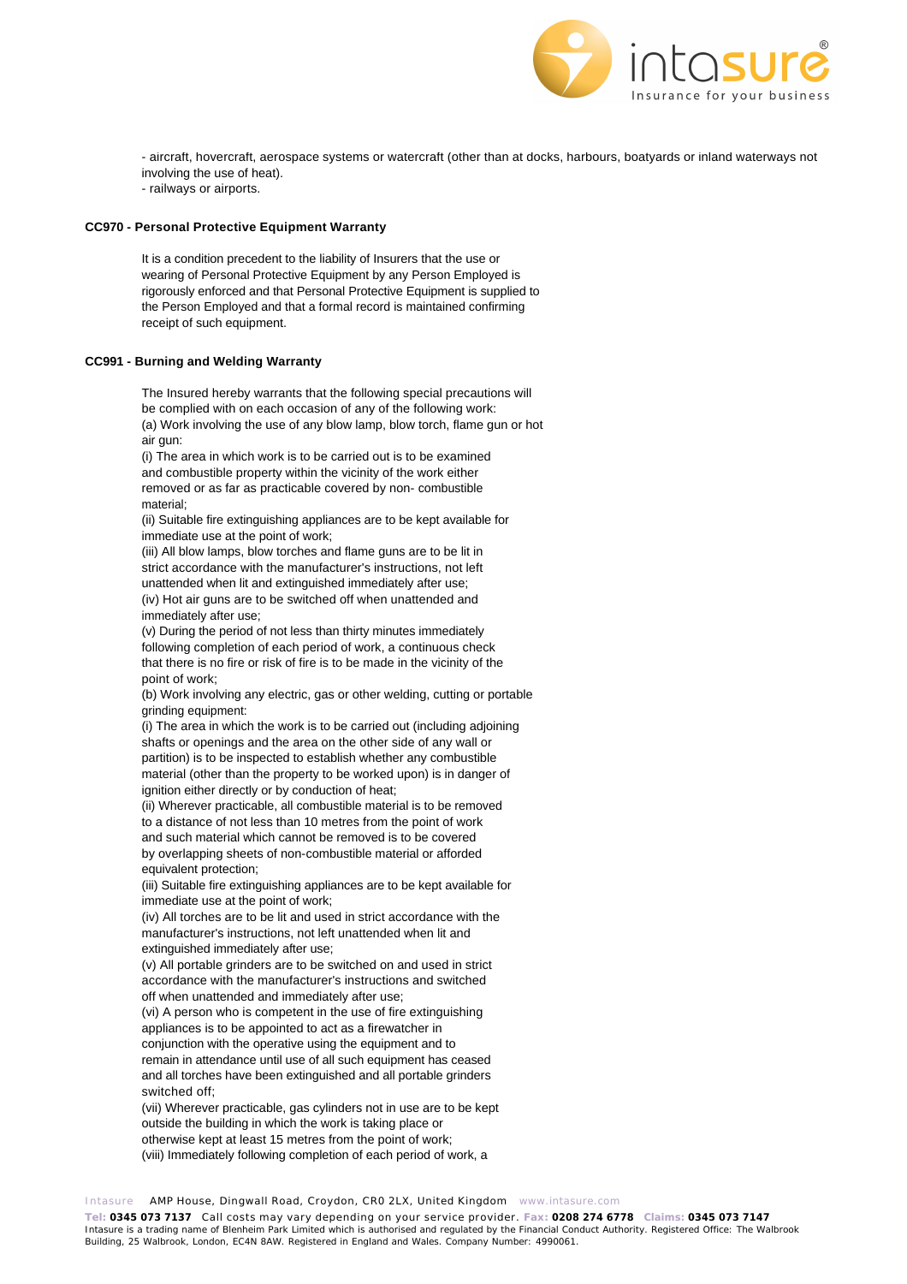

- aircraft, hovercraft, aerospace systems or watercraft (other than at docks, harbours, boatyards or inland waterways not involving the use of heat).

- railways or airports.

# **CC970 - Personal Protective Equipment Warranty**

It is a condition precedent to the liability of Insurers that the use or wearing of Personal Protective Equipment by any Person Employed is rigorously enforced and that Personal Protective Equipment is supplied to the Person Employed and that a formal record is maintained confirming receipt of such equipment.

# **CC991 - Burning and Welding Warranty**

The Insured hereby warrants that the following special precautions will be complied with on each occasion of any of the following work: (a) Work involving the use of any blow lamp, blow torch, flame gun or hot air gun:

(i) The area in which work is to be carried out is to be examined and combustible property within the vicinity of the work either removed or as far as practicable covered by non- combustible material;

(ii) Suitable fire extinguishing appliances are to be kept available for immediate use at the point of work;

(iii) All blow lamps, blow torches and flame guns are to be lit in strict accordance with the manufacturer's instructions, not left unattended when lit and extinguished immediately after use; (iv) Hot air guns are to be switched off when unattended and immediately after use;

(v) During the period of not less than thirty minutes immediately following completion of each period of work, a continuous check that there is no fire or risk of fire is to be made in the vicinity of the point of work;

(b) Work involving any electric, gas or other welding, cutting or portable grinding equipment:

(i) The area in which the work is to be carried out (including adjoining shafts or openings and the area on the other side of any wall or partition) is to be inspected to establish whether any combustible material (other than the property to be worked upon) is in danger of ignition either directly or by conduction of heat;

(ii) Wherever practicable, all combustible material is to be removed to a distance of not less than 10 metres from the point of work and such material which cannot be removed is to be covered by overlapping sheets of non-combustible material or afforded equivalent protection;

(iii) Suitable fire extinguishing appliances are to be kept available for immediate use at the point of work;

(iv) All torches are to be lit and used in strict accordance with the manufacturer's instructions, not left unattended when lit and extinguished immediately after use;

(v) All portable grinders are to be switched on and used in strict accordance with the manufacturer's instructions and switched off when unattended and immediately after use;

(vi) A person who is competent in the use of fire extinguishing appliances is to be appointed to act as a firewatcher in conjunction with the operative using the equipment and to remain in attendance until use of all such equipment has ceased and all torches have been extinguished and all portable grinders switched off;

(vii) Wherever practicable, gas cylinders not in use are to be kept outside the building in which the work is taking place or otherwise kept at least 15 metres from the point of work; (viii) Immediately following completion of each period of work, a